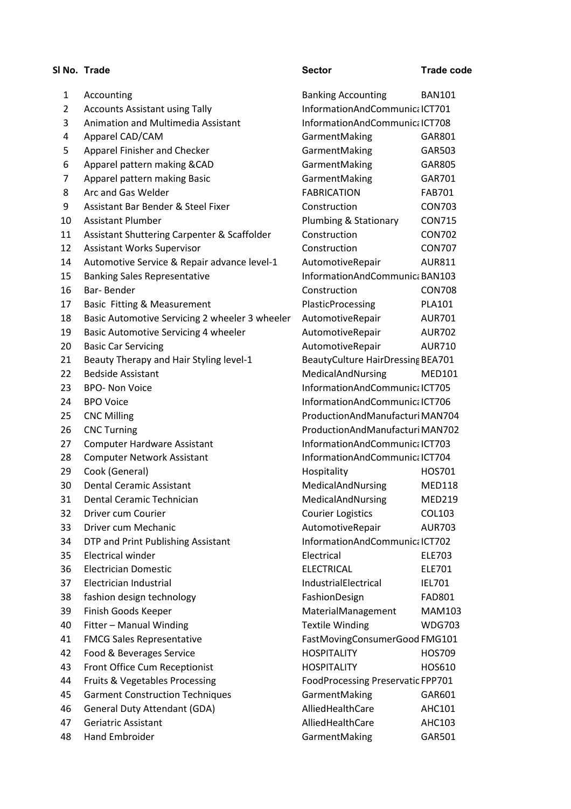|                | SI No. Trade                                   | <b>Sector</b>                     | <b>Trade code</b> |
|----------------|------------------------------------------------|-----------------------------------|-------------------|
| 1              | Accounting                                     | <b>Banking Accounting</b>         | <b>BAN101</b>     |
| $\overline{2}$ | <b>Accounts Assistant using Tally</b>          | InformationAndCommunicalCT701     |                   |
| 3              | Animation and Multimedia Assistant             | InformationAndCommunic; ICT708    |                   |
| 4              | Apparel CAD/CAM                                | GarmentMaking                     | GAR801            |
| 5              | Apparel Finisher and Checker                   | GarmentMaking                     | GAR503            |
| 6              | Apparel pattern making &CAD                    | GarmentMaking                     | GAR805            |
| 7              | Apparel pattern making Basic                   | GarmentMaking                     | GAR701            |
| 8              | Arc and Gas Welder                             | <b>FABRICATION</b>                | <b>FAB701</b>     |
| 9              | Assistant Bar Bender & Steel Fixer             | Construction                      | <b>CON703</b>     |
| 10             | <b>Assistant Plumber</b>                       | Plumbing & Stationary             | <b>CON715</b>     |
| 11             | Assistant Shuttering Carpenter & Scaffolder    | Construction                      | <b>CON702</b>     |
| 12             | <b>Assistant Works Supervisor</b>              | Construction                      | <b>CON707</b>     |
| 14             | Automotive Service & Repair advance level-1    | AutomotiveRepair                  | <b>AUR811</b>     |
| 15             | <b>Banking Sales Representative</b>            | InformationAndCommunic: BAN103    |                   |
| 16             | Bar-Bender                                     | Construction                      | <b>CON708</b>     |
| 17             | Basic Fitting & Measurement                    | <b>PlasticProcessing</b>          | <b>PLA101</b>     |
| 18             | Basic Automotive Servicing 2 wheeler 3 wheeler | AutomotiveRepair                  | <b>AUR701</b>     |
| 19             | Basic Automotive Servicing 4 wheeler           | AutomotiveRepair                  | <b>AUR702</b>     |
| 20             | <b>Basic Car Servicing</b>                     | AutomotiveRepair                  | <b>AUR710</b>     |
| 21             | Beauty Therapy and Hair Styling level-1        | BeautyCulture HairDressing BEA701 |                   |
| 22             | <b>Bedside Assistant</b>                       | MedicalAndNursing                 | <b>MED101</b>     |
| 23             | <b>BPO- Non Voice</b>                          | InformationAndCommunicalCT705     |                   |
| 24             | <b>BPO Voice</b>                               | InformationAndCommunic; ICT706    |                   |
| 25             | <b>CNC Milling</b>                             | ProductionAndManufacturiMAN704    |                   |
| 26             | <b>CNC Turning</b>                             | ProductionAndManufacturiMAN702    |                   |
| 27             | <b>Computer Hardware Assistant</b>             | InformationAndCommunicalCT703     |                   |
| 28             | <b>Computer Network Assistant</b>              | InformationAndCommunicalCT704     |                   |
| 29             | Cook (General)                                 | Hospitality                       | HOS701            |
| 30             | <b>Dental Ceramic Assistant</b>                | MedicalAndNursing                 | <b>MED118</b>     |
| 31             | Dental Ceramic Technician                      | MedicalAndNursing                 | <b>MED219</b>     |
| 32             | Driver cum Courier                             | <b>Courier Logistics</b>          | <b>COL103</b>     |
| 33             | Driver cum Mechanic                            | AutomotiveRepair                  | <b>AUR703</b>     |
| 34             | DTP and Print Publishing Assistant             | InformationAndCommunicalCT702     |                   |
| 35             | <b>Electrical winder</b>                       | Electrical                        | <b>ELE703</b>     |
| 36             | <b>Electrician Domestic</b>                    | <b>ELECTRICAL</b>                 | ELE701            |
| 37             | Electrician Industrial                         | IndustrialElectrical              | <b>IEL701</b>     |
| 38             | fashion design technology                      | FashionDesign                     | <b>FAD801</b>     |
| 39             | Finish Goods Keeper                            | MaterialManagement                | <b>MAM103</b>     |
| 40             | Fitter - Manual Winding                        | <b>Textile Winding</b>            | <b>WDG703</b>     |
| 41             | <b>FMCG Sales Representative</b>               | FastMovingConsumerGood FMG101     |                   |
| 42             | Food & Beverages Service                       | <b>HOSPITALITY</b>                | <b>HOS709</b>     |
| 43             | Front Office Cum Receptionist                  | <b>HOSPITALITY</b>                | HOS610            |
| 44             | Fruits & Vegetables Processing                 | FoodProcessing Preservatic FPP701 |                   |
| 45             | <b>Garment Construction Techniques</b>         | GarmentMaking                     | GAR601            |
| 46             | <b>General Duty Attendant (GDA)</b>            | AlliedHealthCare                  | <b>AHC101</b>     |
| 47             | Geriatric Assistant                            | AlliedHealthCare                  | <b>AHC103</b>     |
| 48             | <b>Hand Embroider</b>                          | GarmentMaking                     | GAR501            |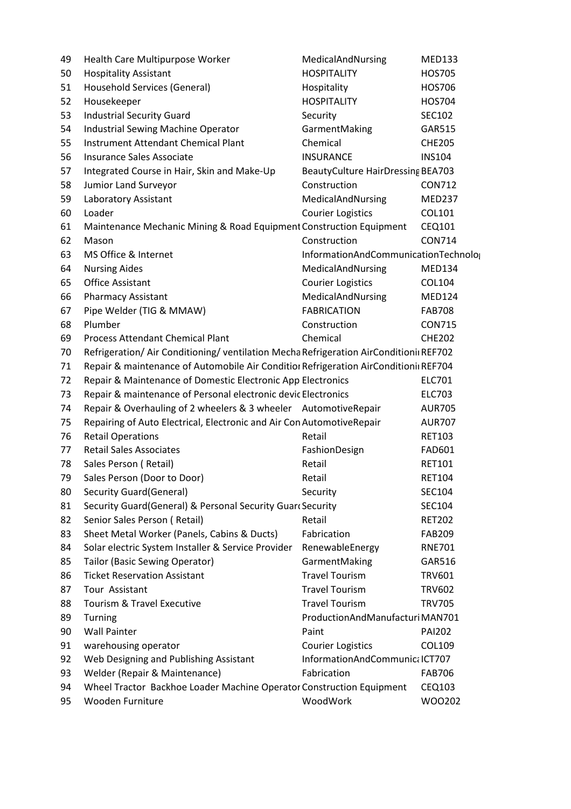| 49 | Health Care Multipurpose Worker                                                        | MedicalAndNursing                    | <b>MED133</b> |
|----|----------------------------------------------------------------------------------------|--------------------------------------|---------------|
| 50 | <b>Hospitality Assistant</b>                                                           | <b>HOSPITALITY</b>                   | <b>HOS705</b> |
| 51 | Household Services (General)                                                           | Hospitality                          | HOS706        |
| 52 | Housekeeper                                                                            | <b>HOSPITALITY</b>                   | <b>HOS704</b> |
| 53 | <b>Industrial Security Guard</b>                                                       | Security                             | <b>SEC102</b> |
| 54 | Industrial Sewing Machine Operator                                                     | GarmentMaking                        | <b>GAR515</b> |
| 55 | <b>Instrument Attendant Chemical Plant</b>                                             | Chemical                             | <b>CHE205</b> |
| 56 | Insurance Sales Associate                                                              | <b>INSURANCE</b>                     | <b>INS104</b> |
| 57 | Integrated Course in Hair, Skin and Make-Up                                            | BeautyCulture HairDressing BEA703    |               |
| 58 | Jumior Land Surveyor                                                                   | Construction                         | <b>CON712</b> |
| 59 | Laboratory Assistant                                                                   | MedicalAndNursing                    | <b>MED237</b> |
| 60 | Loader                                                                                 | <b>Courier Logistics</b>             | COL101        |
| 61 | Maintenance Mechanic Mining & Road Equipment Construction Equipment                    |                                      | CEQ101        |
| 62 | Mason                                                                                  | Construction                         | <b>CON714</b> |
| 63 | MS Office & Internet                                                                   | InformationAndCommunicationTechnolog |               |
| 64 | <b>Nursing Aides</b>                                                                   | MedicalAndNursing                    | <b>MED134</b> |
| 65 | <b>Office Assistant</b>                                                                | <b>Courier Logistics</b>             | COL104        |
| 66 | <b>Pharmacy Assistant</b>                                                              | MedicalAndNursing                    | <b>MED124</b> |
| 67 | Pipe Welder (TIG & MMAW)                                                               | <b>FABRICATION</b>                   | <b>FAB708</b> |
| 68 | Plumber                                                                                | Construction                         | <b>CON715</b> |
| 69 | <b>Process Attendant Chemical Plant</b>                                                | Chemical                             | <b>CHE202</b> |
| 70 | Refrigeration/ Air Conditioning/ ventilation Mecha Refrigeration AirConditionii REF702 |                                      |               |
| 71 | Repair & maintenance of Automobile Air Condition Refrigeration AirConditionin REF704   |                                      |               |
| 72 | Repair & Maintenance of Domestic Electronic App Electronics                            |                                      | ELC701        |
| 73 | Repair & maintenance of Personal electronic devic Electronics                          |                                      | <b>ELC703</b> |
| 74 | Repair & Overhauling of 2 wheelers & 3 wheeler AutomotiveRepair                        |                                      | <b>AUR705</b> |
| 75 | Repairing of Auto Electrical, Electronic and Air Con AutomotiveRepair                  |                                      | <b>AUR707</b> |
| 76 | <b>Retail Operations</b>                                                               | Retail                               | <b>RET103</b> |
| 77 | <b>Retail Sales Associates</b>                                                         | FashionDesign                        | <b>FAD601</b> |
| 78 | Sales Person (Retail)                                                                  | Retail                               | <b>RET101</b> |
| 79 | Sales Person (Door to Door)                                                            | Retail                               | <b>RET104</b> |
| 80 | Security Guard (General)                                                               | Security                             | <b>SEC104</b> |
| 81 | Security Guard(General) & Personal Security Guard Security                             |                                      | <b>SEC104</b> |
| 82 | Senior Sales Person (Retail)                                                           | Retail                               | <b>RET202</b> |
| 83 | Sheet Metal Worker (Panels, Cabins & Ducts)                                            | Fabrication                          | <b>FAB209</b> |
| 84 | Solar electric System Installer & Service Provider                                     | RenewableEnergy                      | <b>RNE701</b> |
| 85 | Tailor (Basic Sewing Operator)                                                         | GarmentMaking                        | GAR516        |
| 86 | <b>Ticket Reservation Assistant</b>                                                    | <b>Travel Tourism</b>                | <b>TRV601</b> |
| 87 | Tour Assistant                                                                         | <b>Travel Tourism</b>                | <b>TRV602</b> |
| 88 | Tourism & Travel Executive                                                             | <b>Travel Tourism</b>                | <b>TRV705</b> |
| 89 | Turning                                                                                | ProductionAndManufacturiMAN701       |               |
| 90 | <b>Wall Painter</b>                                                                    | Paint                                | <b>PAI202</b> |
| 91 | warehousing operator                                                                   | <b>Courier Logistics</b>             | <b>COL109</b> |
| 92 | Web Designing and Publishing Assistant                                                 | InformationAndCommunicalCT707        |               |
| 93 | Welder (Repair & Maintenance)                                                          | Fabrication                          | <b>FAB706</b> |
| 94 | Wheel Tractor Backhoe Loader Machine Operator Construction Equipment                   |                                      | <b>CEQ103</b> |
| 95 | Wooden Furniture                                                                       | WoodWork                             | WO0202        |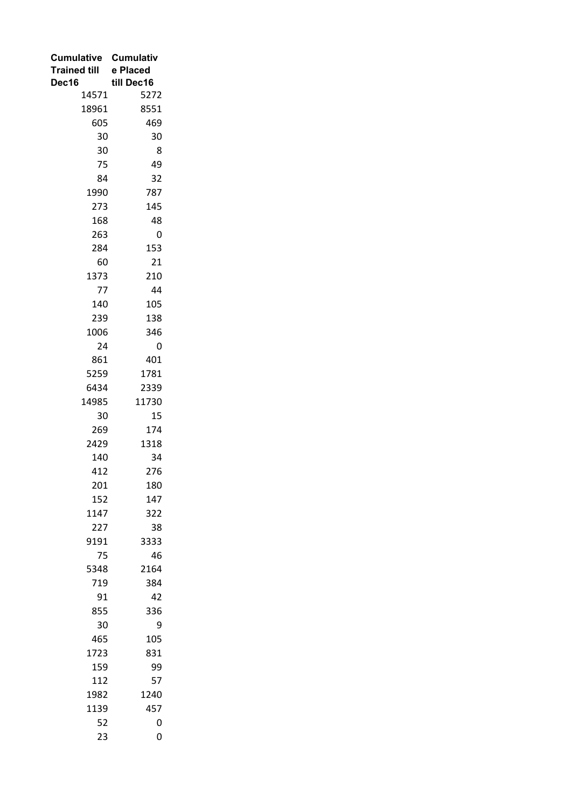| Cumulative Cumulativ |            |  |
|----------------------|------------|--|
| <b>Trained till</b>  | e Placed   |  |
| Dec16                | till Dec16 |  |
| 14571                | 5272       |  |
| 18961                | 8551       |  |
| 605                  | 469        |  |
| 30                   | 30         |  |
| 30                   | 8          |  |
| 75                   | 49         |  |
| 84                   | 32         |  |
| 1990                 | 787        |  |
| 273                  | 145        |  |
| 168                  | 48         |  |
| 263                  | 0          |  |
| 284                  | 153        |  |
| 60                   | 21         |  |
| 1373                 | 210        |  |
| 77                   | 44         |  |
| 140                  | 105        |  |
| 239                  | 138        |  |
| 1006                 | 346        |  |
| 24                   | 0          |  |
| 861                  | 401        |  |
| 5259                 | 1781       |  |
| 6434                 | 2339       |  |
| 14985                | 11730      |  |
| 30                   | 15         |  |
| 269                  | 174        |  |
| 2429                 | 1318       |  |
| 140                  | 34         |  |
| 412                  | 276        |  |
| 201                  | 180        |  |
| 152                  | 147        |  |
| 1147                 | 322        |  |
| 227                  | 38         |  |
| 9191                 | 3333       |  |
| 75                   | 46         |  |
| 5348                 | 2164       |  |
| 719                  | 384        |  |
| 91                   | 42         |  |
| 855                  | 336        |  |
| 30                   | 9          |  |
| 465                  | 105        |  |
| 1723                 | 831        |  |
| 159                  | 99         |  |
| 112                  | 57         |  |
| 1982                 | 1240       |  |
| 1139                 | 457        |  |
| 52                   | 0          |  |
| 23                   | 0          |  |